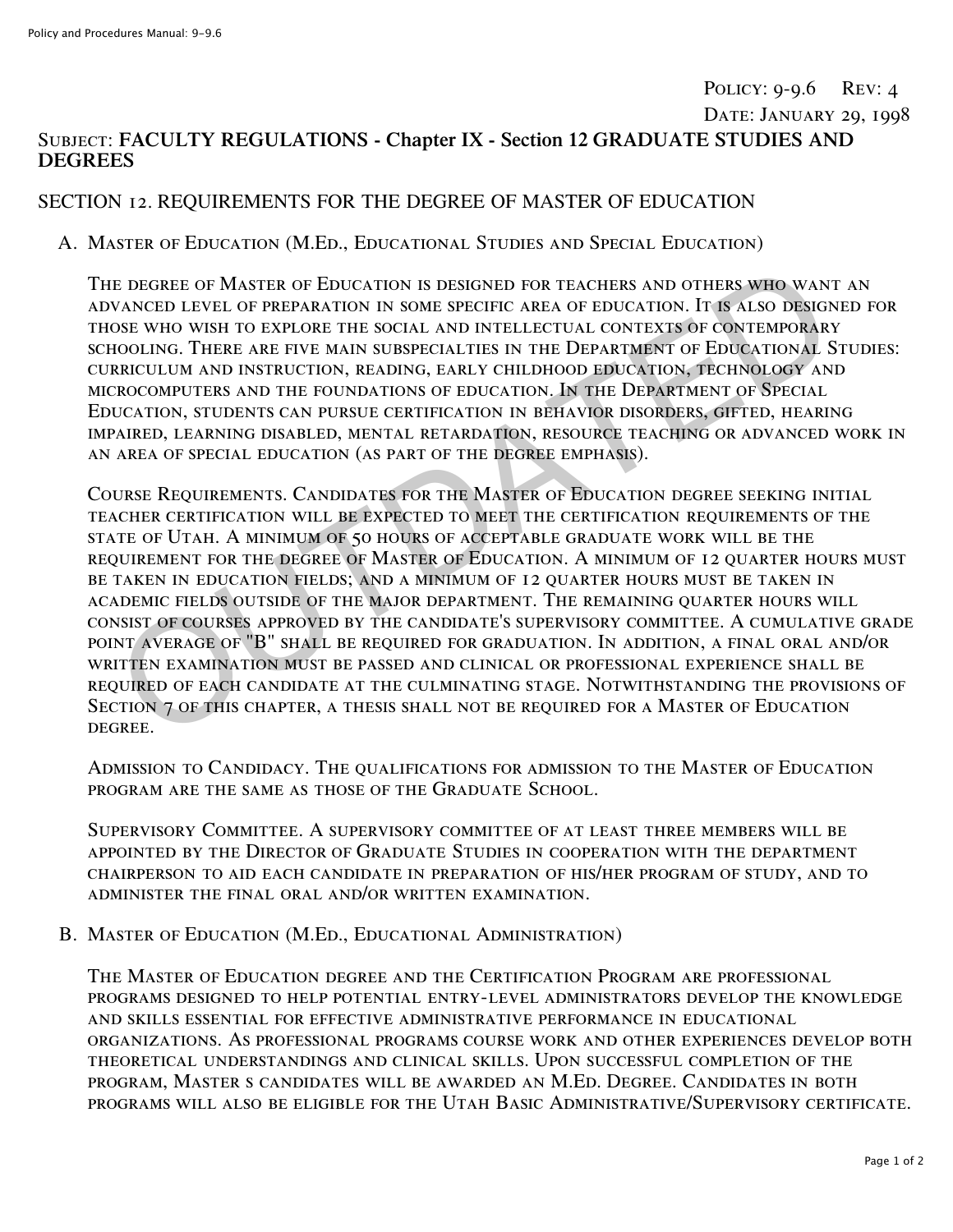# POLICY: 9-9.6 REV: 4 Date: January 29, 1998

## Subject: **FACULTY REGULATIONS - Chapter IX - Section 12 GRADUATE STUDIES AND DEGREES**

### SECTION 12. REQUIREMENTS FOR THE DEGREE OF MASTER OF EDUCATION

#### A. Master of Education (M.Ed., Educational Studies and Special Education)

The degree of Master of Education is designed for teachers and others who want an advanced level of preparation in some specific area of education. It is also designed for those who wish to explore the social and intellectual contexts of contemporary schooling. There are five main subspecialties in the Department of Educational Studies: curriculum and instruction, reading, early childhood education, technology and microcomputers and the foundations of education. In the Department of Special Education, students can pursue certification in behavior disorders, gifted, hearing impaired, learning disabled, mental retardation, resource teaching or advanced work in an area of special education (as part of the degree emphasis).

Course Requirements. Candidates for the Master of Education degree seeking initial teacher certification will be expected to meet the certification requirements of the state of Utah. A minimum of 50 hours of acceptable graduate work will be the requirement for the degree of Master of Education. A minimum of 12 quarter hours must be taken in education fields; and a minimum of 12 quarter hours must be taken in academic fields outside of the major department. The remaining quarter hours will consist of courses approved by the candidate's supervisory committee. A cumulative grade point average of "B" shall be required for graduation. In addition, a final oral and/or written examination must be passed and clinical or professional experience shall be required of each candidate at the culminating stage. Notwithstanding the provisions of Section 7 of this chapter, a thesis shall not be required for a Master of Education degree. E DEGREE OF MASTER OF EDUCATION IS DESIGNED FOR TEACHERS AND OTHERS WHO WANNOCED LEVEL OF PREPARATION IN SOME SPECIFIC AREA OF EDUCATION, IT IS ALSO DESIGNED DESIGNED UNION ON THE LUCTUAL AND INTELLECTUAL CONTEMPORARY OF C

Admission to Candidacy. The qualifications for admission to the Master of Education program are the same as those of the Graduate School.

Supervisory Committee. A supervisory committee of at least three members will be appointed by the Director of Graduate Studies in cooperation with the department chairperson to aid each candidate in preparation of his/her program of study, and to administer the final oral and/or written examination.

#### B. Master of Education (M.Ed., Educational Administration)

The Master of Education degree and the Certification Program are professional programs designed to help potential entry-level administrators develop the knowledge and skills essential for effective administrative performance in educational organizations. As professional programs course work and other experiences develop both theoretical understandings and clinical skills. Upon successful completion of the program, Master s candidates will be awarded an M.Ed. Degree. Candidates in both programs will also be eligible for the Utah Basic Administrative/Supervisory certificate.